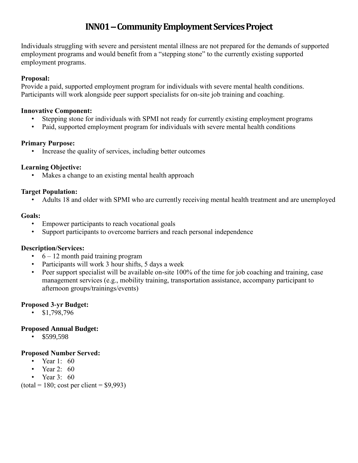# **INN01 –Community Employment Services Project**

Individuals struggling with severe and persistent mental illness are not prepared for the demands of supported employment programs and would benefit from a "stepping stone" to the currently existing supported employment programs.

## **Proposal:**

Provide a paid, supported employment program for individuals with severe mental health conditions. Participants will work alongside peer support specialists for on-site job training and coaching.

#### **Innovative Component:**

- Stepping stone for individuals with SPMI not ready for currently existing employment programs
- Paid, supported employment program for individuals with severe mental health conditions

## **Primary Purpose:**

• Increase the quality of services, including better outcomes

# **Learning Objective:**

Makes a change to an existing mental health approach

## **Target Population:**

• Adults 18 and older with SPMI who are currently receiving mental health treatment and are unemployed

## **Goals:**

- Empower participants to reach vocational goals
- Support participants to overcome barriers and reach personal independence

# **Description/Services:**

- $6 12$  month paid training program
- Participants will work 3 hour shifts, 5 days a week
- Peer support specialist will be available on-site 100% of the time for job coaching and training, case management services (e.g., mobility training, transportation assistance, accompany participant to afternoon groups/trainings/events)

# **Proposed 3-yr Budget:**

• \$1,798,796

# **Proposed Annual Budget:**

• \$599,598

#### **Proposed Number Served:**

- Year 1: 60
- Year  $2^{\degree}$  60
- Year 3: 60

 $(total = 180$ ; cost per client = \$9,993)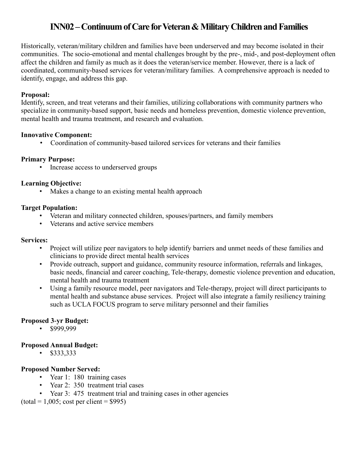# **INN02 –Continuum of Care for Veteran & Military Children and Families**

Historically, veteran/military children and families have been underserved and may become isolated in their communities. The socio-emotional and mental challenges brought by the pre-, mid-, and post-deployment often affect the children and family as much as it does the veteran/service member. However, there is a lack of coordinated, community-based services for veteran/military families. A comprehensive approach is needed to identify, engage, and address this gap.

#### **Proposal:**

Identify, screen, and treat veterans and their families, utilizing collaborations with community partners who specialize in community-based support, basic needs and homeless prevention, domestic violence prevention, mental health and trauma treatment, and research and evaluation.

#### **Innovative Component:**

• Coordination of community-based tailored services for veterans and their families

#### **Primary Purpose:**

• Increase access to underserved groups

#### **Learning Objective:**

• Makes a change to an existing mental health approach

#### **Target Population:**

- Veteran and military connected children, spouses/partners, and family members
- Veterans and active service members

#### **Services:**

- Project will utilize peer navigators to help identify barriers and unmet needs of these families and clinicians to provide direct mental health services
- Provide outreach, support and guidance, community resource information, referrals and linkages, basic needs, financial and career coaching, Tele-therapy, domestic violence prevention and education, mental health and trauma treatment
- Using a family resource model, peer navigators and Tele-therapy, project will direct participants to mental health and substance abuse services. Project will also integrate a family resiliency training such as UCLA FOCUS program to serve military personnel and their families

#### **Proposed 3-yr Budget:**

 $•$  \$999,999

#### **Proposed Annual Budget:**

• \$333,333

#### **Proposed Number Served:**

- Year 1: 180 training cases
- Year 2: 350 treatment trial cases
- Year 3: 475 treatment trial and training cases in other agencies

 $(total = 1,005; cost per client = $995)$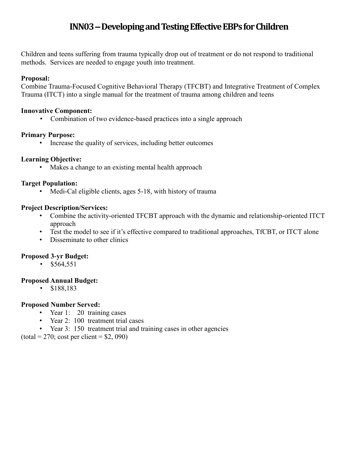# **INN03 –Developing and Testing Effective EBPs for Children**

Children and teens suffering from trauma typically drop out of treatment or do not respond to traditional methods. Services are needed to engage youth into treatment.

#### **Proposal:**

Combine Trauma-Focused Cognitive Behavioral Therapy (TFCBT) and Integrative Treatment of Complex Trauma (ITCT) into a single manual for the treatment of trauma among children and teens

#### **Innovative Component:**

• Combination of two evidence-based practices into a single approach

#### **Primary Purpose:**

• Increase the quality of services, including better outcomes

#### **Learning Objective:**

• Makes a change to an existing mental health approach

#### **Target Population:**

• Medi-Cal eligible clients, ages 5-18, with history of trauma

#### **Project Description/Services:**

- Combine the activity-oriented TFCBT approach with the dynamic and relationship-oriented ITCT approach
- Test the model to see if it's effective compared to traditional approaches, TfCBT, or ITCT alone
- Disseminate to other clinics

#### **Proposed 3-yr Budget:**

•  $$564,551$ 

#### **Proposed Annual Budget:**

• \$188,183

#### **Proposed Number Served:**

- Year 1: 20 training cases
- Year 2: 100 treatment trial cases
- Year 3: 150 treatment trial and training cases in other agencies

 $(total = 270; cost per client = $2,090)$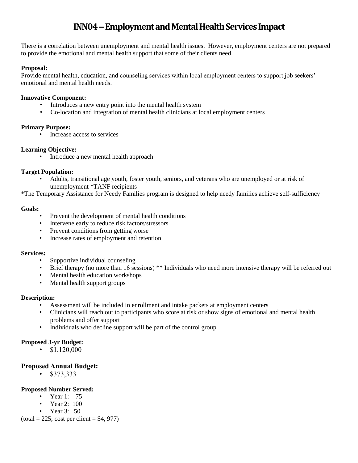# **INN04 –Employment and Mental Health Services Impact**

There is a correlation between unemployment and mental health issues. However, employment centers are not prepared to provide the emotional and mental health support that some of their clients need.

#### **Proposal:**

Provide mental health, education, and counseling services within local employment centers to support job seekers' emotional and mental health needs.

#### **Innovative Component:**

- Introduces a new entry point into the mental health system
- Co-location and integration of mental health clinicians at local employment centers

#### **Primary Purpose:**

• Increase access to services

#### **Learning Objective:**

• Introduce a new mental health approach

#### **Target Population:**

• Adults, transitional age youth, foster youth, seniors, and veterans who are unemployed or at risk of unemployment \*TANF recipients

\*The Temporary Assistance for Needy Families program is designed to help needy families achieve self-sufficiency

#### **Goals:**

- Prevent the development of mental health conditions
- Intervene early to reduce risk factors/stressors
- Prevent conditions from getting worse
- Increase rates of employment and retention

#### **Services:**

- Supportive individual counseling
- Brief therapy (no more than 16 sessions) \*\* Individuals who need more intensive therapy will be referred out
- Mental health education workshops
- Mental health support groups

#### **Description:**

- Assessment will be included in enrollment and intake packets at employment centers
- Clinicians will reach out to participants who score at risk or show signs of emotional and mental health problems and offer support
- Individuals who decline support will be part of the control group

#### **Proposed 3-yr Budget:**

•  $$1,120,000$ 

#### **Proposed Annual Budget:**

• \$373,333

#### **Proposed Number Served:**

- Year 1: 75
- Year 2: 100
- Year 3: 50

 $(total = 225$ ; cost per client = \$4, 977)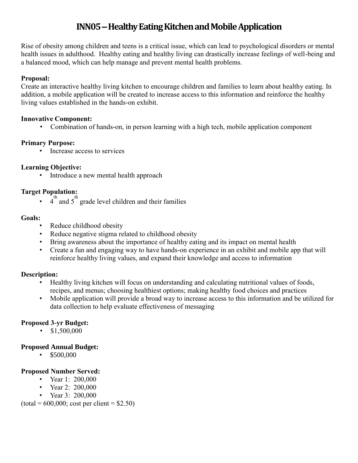# **INN05 –Healthy Eating Kitchen and Mobile Application**

Rise of obesity among children and teens is a critical issue, which can lead to psychological disorders or mental health issues in adulthood. Healthy eating and healthy living can drastically increase feelings of well-being and a balanced mood, which can help manage and prevent mental health problems.

## **Proposal:**

Create an interactive healthy living kitchen to encourage children and families to learn about healthy eating. In addition, a mobile application will be created to increase access to this information and reinforce the healthy living values established in the hands-on exhibit.

## **Innovative Component:**

• Combination of hands-on, in person learning with a high tech, mobile application component

# **Primary Purpose:**

• Increase access to services

## **Learning Objective:**

• Introduce a new mental health approach

# **Target Population:**

 $\cdot$  4<sup>th</sup> and 5<sup>th</sup> grade level children and their families

## **Goals:**

- Reduce childhood obesity
- Reduce negative stigma related to childhood obesity
- Bring awareness about the importance of healthy eating and its impact on mental health
- Create a fun and engaging way to have hands-on experience in an exhibit and mobile app that will reinforce healthy living values, and expand their knowledge and access to information

# **Description:**

- Healthy living kitchen will focus on understanding and calculating nutritional values of foods, recipes, and menus; choosing healthiest options; making healthy food choices and practices
- Mobile application will provide a broad way to increase access to this information and be utilized for data collection to help evaluate effectiveness of messaging

# **Proposed 3-yr Budget:**

•  $$1,500,000$ 

# **Proposed Annual Budget:**

 $\cdot$  \$500,000

# **Proposed Number Served:**

- Year 1: 200,000
- Year 2: 200,000
- Year 3: 200,000

 $(total = 600,000; cost per client = $2.50)$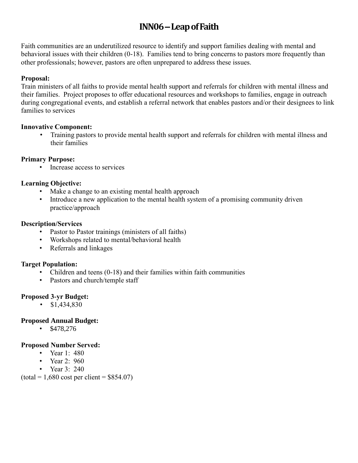# **INN06 –Leap of Faith**

Faith communities are an underutilized resource to identify and support families dealing with mental and behavioral issues with their children (0-18). Families tend to bring concerns to pastors more frequently than other professionals; however, pastors are often unprepared to address these issues.

## **Proposal:**

Train ministers of all faiths to provide mental health support and referrals for children with mental illness and their families. Project proposes to offer educational resources and workshops to families, engage in outreach during congregational events, and establish a referral network that enables pastors and/or their designees to link families to services

#### **Innovative Component:**

• Training pastors to provide mental health support and referrals for children with mental illness and their families

#### **Primary Purpose:**

• Increase access to services

## **Learning Objective:**

- Make a change to an existing mental health approach
- Introduce a new application to the mental health system of a promising community driven practice/approach

#### **Description/Services**

- Pastor to Pastor trainings (ministers of all faiths)
- Workshops related to mental/behavioral health
- Referrals and linkages

# **Target Population:**

- Children and teens (0-18) and their families within faith communities
- Pastors and church/temple staff

# **Proposed 3-yr Budget:**

•  $$1,434,830$ 

# **Proposed Annual Budget:**

•  $$478,276$ 

#### **Proposed Number Served:**

- Year 1: 480
- Year  $2 \cdot 960$
- Year  $3:240$

 $(total = 1,680 cost per client = $854.07)$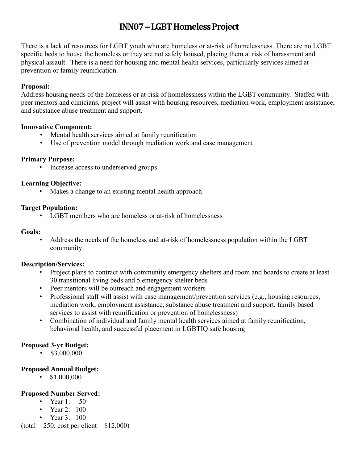# **INN07 –LGBT Homeless Project**

There is a lack of resources for LGBT youth who are homeless or at-risk of homelessness. There are no LGBT specific beds to house the homeless or they are not safely housed, placing them at risk of harassment and physical assault. There is a need for housing and mental health services, particularly services aimed at prevention or family reunification.

## **Proposal:**

Address housing needs of the homeless or at-risk of homelessness within the LGBT community. Staffed with peer mentors and clinicians, project will assist with housing resources, mediation work, employment assistance, and substance abuse treatment and support.

#### **Innovative Component:**

- Mental health services aimed at family reunification
- Use of prevention model through mediation work and case management

#### **Primary Purpose:**

• Increase access to underserved groups

#### **Learning Objective:**

• Makes a change to an existing mental health approach

#### **Target Population:**

• LGBT members who are homeless or at-risk of homelessness

#### **Goals:**

• Address the needs of the homeless and at-risk of homelessness population within the LGBT community

#### **Description/Services:**

- Project plans to contract with community emergency shelters and room and boards to create at least 30 transitional living beds and 5 emergency shelter beds
- Peer mentors will be outreach and engagement workers
- Professional staff will assist with case management/prevention services (e.g., housing resources, mediation work, employment assistance, substance abuse treatment and support, family based services to assist with reunification or prevention of homelessness)
- Combination of individual and family mental health services aimed at family reunification, behavioral health, and successful placement in LGBTIQ safe housing

# **Proposed 3-yr Budget:**

•  $$3,000,000$ 

#### **Proposed Annual Budget:**

•  $$1,000,000$ 

#### **Proposed Number Served:**

- Year  $1: 50$
- Year  $2 \cdot 100$
- Year 3: 100

 $(total = 250$ ; cost per client = \$12,000)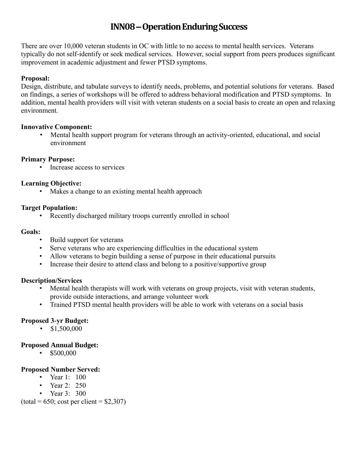# **INN08 –Operation Enduring Success**

There are over 10,000 veteran students in OC with little to no access to mental health services. Veterans typically do not self-identify or seek medical services. However, social support from peers produces significant improvement in academic adjustment and fewer PTSD symptoms.

## **Proposal:**

Design, distribute, and tabulate surveys to identify needs, problems, and potential solutions for veterans. Based on findings, a series of workshops will be offered to address behavioral modification and PTSD symptoms. In addition, mental health providers will visit with veteran students on a social basis to create an open and relaxing environment.

#### **Innovative Component:**

• Mental health support program for veterans through an activity-oriented, educational, and social environment

## **Primary Purpose:**

• Increase access to services

# **Learning Objective:**

• Makes a change to an existing mental health approach

# **Target Population:**

• Recently discharged military troops currently enrolled in school

#### **Goals:**

- Build support for veterans
- Serve veterans who are experiencing difficulties in the educational system
- Allow veterans to begin building a sense of purpose in their educational pursuits
- Increase their desire to attend class and belong to a positive/supportive group

#### **Description/Services**

- Mental health therapists will work with veterans on group projects, visit with veteran students, provide outside interactions, and arrange volunteer work
- Trained PTSD mental health providers will be able to work with veterans on a social basis

# **Proposed 3-yr Budget:**

•  $$1,500,000$ 

# **Proposed Annual Budget:**

•  $$500,000$ 

# **Proposed Number Served:**

- Year 1: 100
- Year 2: 250
- Year  $3 \cdot 300$

 $(total = 650; cost per client = $2,307)$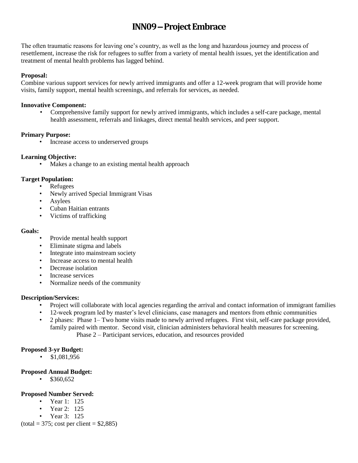# **INN09 –Project Embrace**

The often traumatic reasons for leaving one's country, as well as the long and hazardous journey and process of resettlement, increase the risk for refugees to suffer from a variety of mental health issues, yet the identification and treatment of mental health problems has lagged behind.

#### **Proposal:**

Combine various support services for newly arrived immigrants and offer a 12-week program that will provide home visits, family support, mental health screenings, and referrals for services, as needed.

#### **Innovative Component:**

• Comprehensive family support for newly arrived immigrants, which includes a self-care package, mental health assessment, referrals and linkages, direct mental health services, and peer support.

#### **Primary Purpose:**

• Increase access to underserved groups

#### **Learning Objective:**

• Makes a change to an existing mental health approach

#### **Target Population:**

- Refugees
- Newly arrived Special Immigrant Visas
- Asylees
- Cuban Haitian entrants
- Victims of trafficking

#### **Goals:**

- Provide mental health support
- Eliminate stigma and labels
- Integrate into mainstream society
- Increase access to mental health
- Decrease isolation
- Increase services
- Normalize needs of the community

#### **Description/Services:**

- Project will collaborate with local agencies regarding the arrival and contact information of immigrant families
- 12-week program led by master's level clinicians, case managers and mentors from ethnic communities
- 2 phases: Phase 1– Two home visits made to newly arrived refugees. First visit, self-care package provided, family paired with mentor. Second visit, clinician administers behavioral health measures for screening. Phase 2 – Participant services, education, and resources provided

#### **Proposed 3-yr Budget:**

• \$1,081,956

#### **Proposed Annual Budget:**

• \$360,652

#### **Proposed Number Served:**

- Year 1: 125
- Year 2: 125
- Year 3: 125

 $(total = 375$ ; cost per client = \$2,885)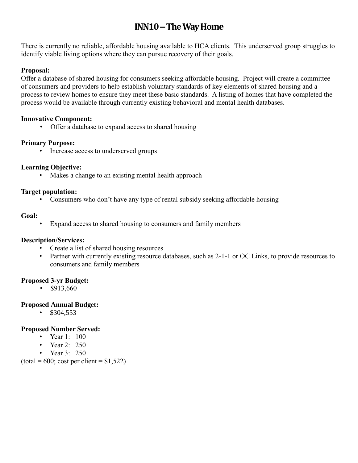# **INN10 –The Way Home**

There is currently no reliable, affordable housing available to HCA clients. This underserved group struggles to identify viable living options where they can pursue recovery of their goals.

## **Proposal:**

Offer a database of shared housing for consumers seeking affordable housing. Project will create a committee of consumers and providers to help establish voluntary standards of key elements of shared housing and a process to review homes to ensure they meet these basic standards. A listing of homes that have completed the process would be available through currently existing behavioral and mental health databases.

## **Innovative Component:**

• Offer a database to expand access to shared housing

# **Primary Purpose:**

• Increase access to underserved groups

# **Learning Objective:**

• Makes a change to an existing mental health approach

## **Target population:**

• Consumers who don't have any type of rental subsidy seeking affordable housing

## **Goal:**

• Expand access to shared housing to consumers and family members

# **Description/Services:**

- Create a list of shared housing resources
- Partner with currently existing resource databases, such as 2-1-1 or OC Links, to provide resources to consumers and family members

# **Proposed 3-yr Budget:**

•  $$913,660$ 

# **Proposed Annual Budget:**

 $•$  \$304,553

#### **Proposed Number Served:**

- Year 1: 100
- Year 2: 250
- Year 3: 250

 $(total = 600; cost per client = $1,522)$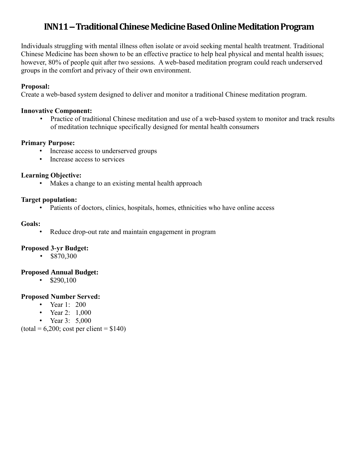# **INN11 –Traditional Chinese Medicine Based Online Meditation Program**

Individuals struggling with mental illness often isolate or avoid seeking mental health treatment. Traditional Chinese Medicine has been shown to be an effective practice to help heal physical and mental health issues; however, 80% of people quit after two sessions. A web-based meditation program could reach underserved groups in the comfort and privacy of their own environment.

#### **Proposal:**

Create a web-based system designed to deliver and monitor a traditional Chinese meditation program.

#### **Innovative Component:**

• Practice of traditional Chinese meditation and use of a web-based system to monitor and track results of meditation technique specifically designed for mental health consumers

## **Primary Purpose:**

- Increase access to underserved groups
- Increase access to services

## **Learning Objective:**

• Makes a change to an existing mental health approach

## **Target population:**

• Patients of doctors, clinics, hospitals, homes, ethnicities who have online access

## **Goals:**

Reduce drop-out rate and maintain engagement in program

# **Proposed 3-yr Budget:**

 $•$  \$870,300

# **Proposed Annual Budget:**

•  $$290,100$ 

# **Proposed Number Served:**

- Year 1: 200
- Year 2: 1,000
- Year 3: 5,000

 $(total = 6,200; cost per client = $140)$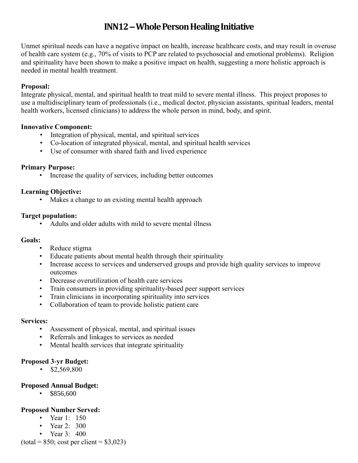# **INN12 –Whole Person Healing Initiative**

Unmet spiritual needs can have a negative impact on health, increase healthcare costs, and may result in overuse of health care system (e.g., 70% of visits to PCP are related to psychosocial and emotional problems). Religion and spirituality have been shown to make a positive impact on health, suggesting a more holistic approach is needed in mental health treatment.

## **Proposal:**

Integrate physical, mental, and spiritual health to treat mild to severe mental illness. This project proposes to use a multidisciplinary team of professionals (i.e., medical doctor, physician assistants, spiritual leaders, mental health workers, licensed clinicians) to address the whole person in mind, body, and spirit.

#### **Innovative Component:**

- Integration of physical, mental, and spiritual services
- Co-location of integrated physical, mental, and spiritual health services
- Use of consumer with shared faith and lived experience

## **Primary Purpose:**

• Increase the quality of services, including better outcomes

# **Learning Objective:**

• Makes a change to an existing mental health approach

## **Target population:**

• Adults and older adults with mild to severe mental illness

#### **Goals:**

- Reduce stigma
- Educate patients about mental health through their spirituality
- Increase access to services and underserved groups and provide high quality services to improve outcomes
- Decrease overutilization of health care services
- Train consumers in providing spirituality-based peer support services
- Train clinicians in incorporating spirituality into services
- Collaboration of team to provide holistic patient care

#### **Services:**

- Assessment of physical, mental, and spiritual issues
- Referrals and linkages to services as needed
- Mental health services that integrate spirituality

# **Proposed 3-yr Budget:**

•  $$2,569,800$ 

# **Proposed Annual Budget:**

 $\cdot$  \$856,600

# **Proposed Number Served:**

- Year 1: 150
- Year 2: 300
- Year 3: 400

 $(total = 850; cost per client = $3,023)$